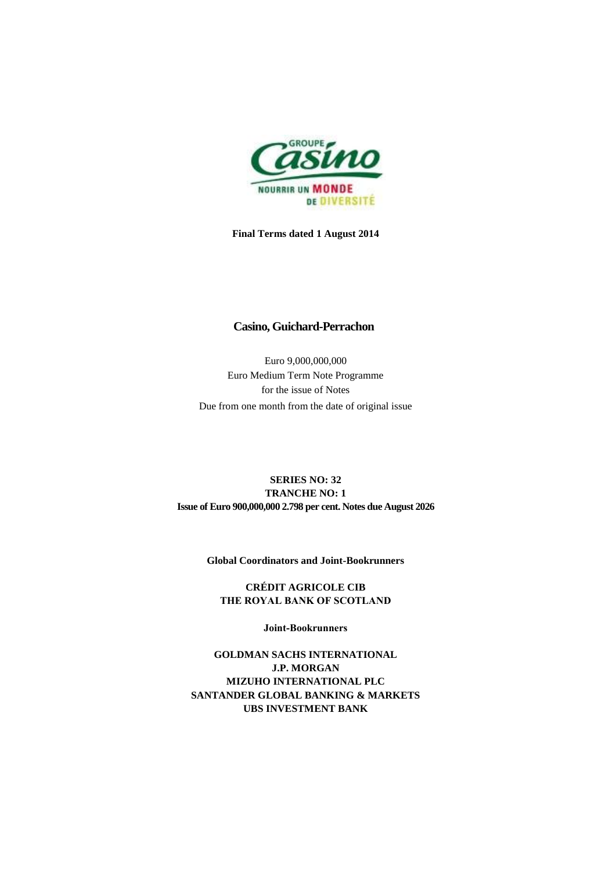

**Final Terms dated 1 August 2014**

### **Casino, Guichard-Perrachon**

Euro 9,000,000,000 Euro Medium Term Note Programme for the issue of Notes Due from one month from the date of original issue

## **SERIES NO: 32 TRANCHE NO: 1 Issue of Euro 900,000,000 2.798 per cent. Notes due August 2026**

**Global Coordinators and Joint-Bookrunners**

**CRÉDIT AGRICOLE CIB THE ROYAL BANK OF SCOTLAND**

**Joint-Bookrunners**

**GOLDMAN SACHS INTERNATIONAL J.P. MORGAN MIZUHO INTERNATIONAL PLC SANTANDER GLOBAL BANKING & MARKETS UBS INVESTMENT BANK**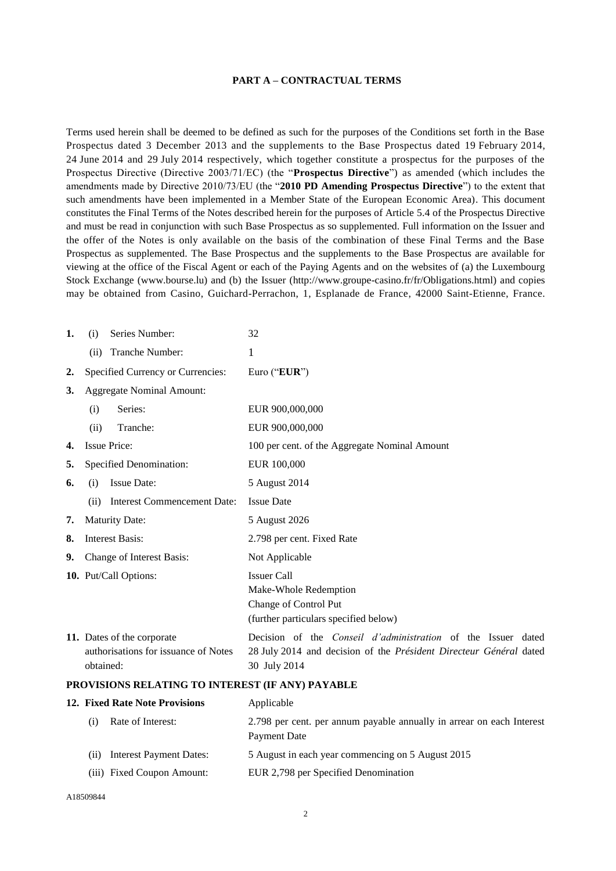#### **PART A – CONTRACTUAL TERMS**

Terms used herein shall be deemed to be defined as such for the purposes of the Conditions set forth in the Base Prospectus dated 3 December 2013 and the supplements to the Base Prospectus dated 19 February 2014, 24 June 2014 and 29 July 2014 respectively, which together constitute a prospectus for the purposes of the Prospectus Directive (Directive 2003/71/EC) (the "**Prospectus Directive**") as amended (which includes the amendments made by Directive 2010/73/EU (the "**2010 PD Amending Prospectus Directive**") to the extent that such amendments have been implemented in a Member State of the European Economic Area). This document constitutes the Final Terms of the Notes described herein for the purposes of Article 5.4 of the Prospectus Directive and must be read in conjunction with such Base Prospectus as so supplemented. Full information on the Issuer and the offer of the Notes is only available on the basis of the combination of these Final Terms and the Base Prospectus as supplemented. The Base Prospectus and the supplements to the Base Prospectus are available for viewing at the office of the Fiscal Agent or each of the Paying Agents and on the websites of (a) the Luxembourg Stock Exchange (www.bourse.lu) and (b) the Issuer (http://www.groupe-casino.fr/fr/Obligations.html) and copies may be obtained from Casino, Guichard-Perrachon, 1, Esplanade de France, 42000 Saint-Etienne, France.

| 1. | Series Number:<br>(i)                                                           | 32                                                                                                                                                        |
|----|---------------------------------------------------------------------------------|-----------------------------------------------------------------------------------------------------------------------------------------------------------|
|    | Tranche Number:<br>(ii)                                                         | 1                                                                                                                                                         |
| 2. | Specified Currency or Currencies:                                               | Euro ("EUR")                                                                                                                                              |
| 3. | <b>Aggregate Nominal Amount:</b>                                                |                                                                                                                                                           |
|    | Series:<br>(i)                                                                  | EUR 900,000,000                                                                                                                                           |
|    | Tranche:<br>(ii)                                                                | EUR 900,000,000                                                                                                                                           |
|    | <b>Issue Price:</b>                                                             | 100 per cent. of the Aggregate Nominal Amount                                                                                                             |
| 5. | Specified Denomination:                                                         | EUR 100,000                                                                                                                                               |
| 6. | Issue Date:<br>(i)                                                              | 5 August 2014                                                                                                                                             |
|    | <b>Interest Commencement Date:</b><br>(ii)                                      | <b>Issue Date</b>                                                                                                                                         |
| 7. | <b>Maturity Date:</b>                                                           | 5 August 2026                                                                                                                                             |
| 8. | <b>Interest Basis:</b>                                                          | 2.798 per cent. Fixed Rate                                                                                                                                |
| 9. | Change of Interest Basis:                                                       | Not Applicable                                                                                                                                            |
|    | 10. Put/Call Options:                                                           | <b>Issuer Call</b><br>Make-Whole Redemption<br>Change of Control Put<br>(further particulars specified below)                                             |
|    | 11. Dates of the corporate<br>authorisations for issuance of Notes<br>obtained: | Decision of the <i>Conseil d'administration</i> of the Issuer dated<br>28 July 2014 and decision of the Président Directeur Général dated<br>30 July 2014 |

#### **PROVISIONS RELATING TO INTEREST (IF ANY) PAYABLE**

| 12. Fixed Rate Note Provisions |                                | Applicable                                                                            |  |
|--------------------------------|--------------------------------|---------------------------------------------------------------------------------------|--|
| (i)                            | Rate of Interest:              | 2.798 per cent. per annum payable annually in arrear on each Interest<br>Payment Date |  |
| (i)                            | <b>Interest Payment Dates:</b> | 5 August in each year commencing on 5 August 2015                                     |  |
|                                | (iii) Fixed Coupon Amount:     | EUR 2,798 per Specified Denomination                                                  |  |
|                                |                                |                                                                                       |  |

A18509844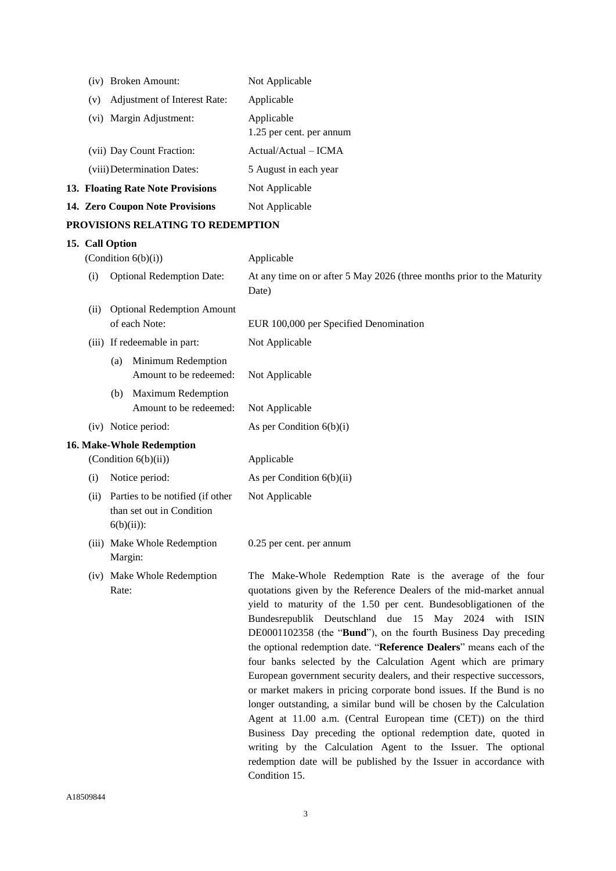|                                   |                                                                   |         | (iv) Broken Amount:                                                            | Not Applicable                                                                                                                                                                                                                                                                                                                                                                                                                                                                                                                                                                                                             |  |
|-----------------------------------|-------------------------------------------------------------------|---------|--------------------------------------------------------------------------------|----------------------------------------------------------------------------------------------------------------------------------------------------------------------------------------------------------------------------------------------------------------------------------------------------------------------------------------------------------------------------------------------------------------------------------------------------------------------------------------------------------------------------------------------------------------------------------------------------------------------------|--|
|                                   | Adjustment of Interest Rate:<br>(v)<br>Margin Adjustment:<br>(vi) |         |                                                                                | Applicable                                                                                                                                                                                                                                                                                                                                                                                                                                                                                                                                                                                                                 |  |
|                                   |                                                                   |         |                                                                                | Applicable                                                                                                                                                                                                                                                                                                                                                                                                                                                                                                                                                                                                                 |  |
|                                   |                                                                   |         |                                                                                | 1.25 per cent. per annum                                                                                                                                                                                                                                                                                                                                                                                                                                                                                                                                                                                                   |  |
|                                   |                                                                   |         | (vii) Day Count Fraction:                                                      | Actual/Actual - ICMA                                                                                                                                                                                                                                                                                                                                                                                                                                                                                                                                                                                                       |  |
|                                   |                                                                   |         | (viii) Determination Dates:                                                    | 5 August in each year                                                                                                                                                                                                                                                                                                                                                                                                                                                                                                                                                                                                      |  |
|                                   |                                                                   |         | 13. Floating Rate Note Provisions                                              | Not Applicable                                                                                                                                                                                                                                                                                                                                                                                                                                                                                                                                                                                                             |  |
|                                   | 14. Zero Coupon Note Provisions                                   |         |                                                                                | Not Applicable                                                                                                                                                                                                                                                                                                                                                                                                                                                                                                                                                                                                             |  |
| PROVISIONS RELATING TO REDEMPTION |                                                                   |         |                                                                                |                                                                                                                                                                                                                                                                                                                                                                                                                                                                                                                                                                                                                            |  |
|                                   | 15. Call Option                                                   |         |                                                                                |                                                                                                                                                                                                                                                                                                                                                                                                                                                                                                                                                                                                                            |  |
|                                   |                                                                   |         | (Condition $6(b)(i)$ )                                                         | Applicable                                                                                                                                                                                                                                                                                                                                                                                                                                                                                                                                                                                                                 |  |
|                                   | (i)                                                               |         | <b>Optional Redemption Date:</b>                                               | At any time on or after 5 May 2026 (three months prior to the Maturity<br>Date)                                                                                                                                                                                                                                                                                                                                                                                                                                                                                                                                            |  |
|                                   | (ii)                                                              |         | <b>Optional Redemption Amount</b>                                              |                                                                                                                                                                                                                                                                                                                                                                                                                                                                                                                                                                                                                            |  |
|                                   |                                                                   |         | of each Note:                                                                  | EUR 100,000 per Specified Denomination                                                                                                                                                                                                                                                                                                                                                                                                                                                                                                                                                                                     |  |
|                                   |                                                                   |         | (iii) If redeemable in part:                                                   | Not Applicable                                                                                                                                                                                                                                                                                                                                                                                                                                                                                                                                                                                                             |  |
|                                   |                                                                   | (a)     | Minimum Redemption<br>Amount to be redeemed:                                   | Not Applicable                                                                                                                                                                                                                                                                                                                                                                                                                                                                                                                                                                                                             |  |
|                                   |                                                                   | (b)     | <b>Maximum Redemption</b><br>Amount to be redeemed:                            | Not Applicable                                                                                                                                                                                                                                                                                                                                                                                                                                                                                                                                                                                                             |  |
|                                   |                                                                   |         | (iv) Notice period:                                                            | As per Condition $6(b)(i)$                                                                                                                                                                                                                                                                                                                                                                                                                                                                                                                                                                                                 |  |
|                                   |                                                                   |         | 16. Make-Whole Redemption                                                      |                                                                                                                                                                                                                                                                                                                                                                                                                                                                                                                                                                                                                            |  |
|                                   | (Condition 6(b)(ii))<br>Notice period:<br>(i)                     |         |                                                                                | Applicable                                                                                                                                                                                                                                                                                                                                                                                                                                                                                                                                                                                                                 |  |
|                                   |                                                                   |         |                                                                                | As per Condition $6(b)(ii)$                                                                                                                                                                                                                                                                                                                                                                                                                                                                                                                                                                                                |  |
|                                   | (ii)                                                              |         | Parties to be notified (if other<br>than set out in Condition<br>$6(b)(ii))$ : | Not Applicable                                                                                                                                                                                                                                                                                                                                                                                                                                                                                                                                                                                                             |  |
|                                   |                                                                   | Margin: | (iii) Make Whole Redemption                                                    | 0.25 per cent. per annum                                                                                                                                                                                                                                                                                                                                                                                                                                                                                                                                                                                                   |  |
|                                   |                                                                   | Rate:   | (iv) Make Whole Redemption                                                     | The Make-Whole Redemption Rate is the average of the four<br>quotations given by the Reference Dealers of the mid-market annual<br>yield to maturity of the 1.50 per cent. Bundesobligationen of the<br>Bundesrepublik Deutschland due 15 May 2024 with ISIN<br>DE0001102358 (the "Bund"), on the fourth Business Day preceding<br>the optional redemption date. "Reference Dealers" means each of the<br>four banks selected by the Calculation Agent which are primary<br>European government security dealers, and their respective successors,<br>or market makers in pricing corporate bond issues. If the Bund is no |  |

3

Condition 15.

longer outstanding, a similar bund will be chosen by the Calculation Agent at 11.00 a.m. (Central European time (CET)) on the third Business Day preceding the optional redemption date, quoted in writing by the Calculation Agent to the Issuer. The optional redemption date will be published by the Issuer in accordance with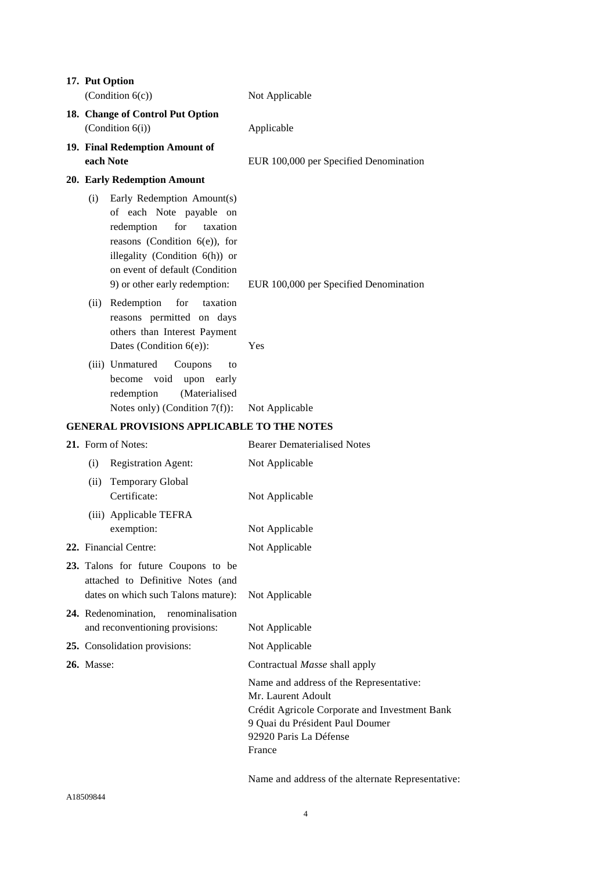|                   | 17. Put Option<br>(Condition $6(c)$ )                                                                                                                                                                                           | Not Applicable                                                                                                                                                                        |
|-------------------|---------------------------------------------------------------------------------------------------------------------------------------------------------------------------------------------------------------------------------|---------------------------------------------------------------------------------------------------------------------------------------------------------------------------------------|
|                   | 18. Change of Control Put Option                                                                                                                                                                                                |                                                                                                                                                                                       |
|                   | (Condition 6(i))                                                                                                                                                                                                                | Applicable                                                                                                                                                                            |
|                   | 19. Final Redemption Amount of                                                                                                                                                                                                  |                                                                                                                                                                                       |
|                   | each Note                                                                                                                                                                                                                       | EUR 100,000 per Specified Denomination                                                                                                                                                |
|                   | 20. Early Redemption Amount                                                                                                                                                                                                     |                                                                                                                                                                                       |
| (i)               | Early Redemption Amount(s)<br>of each Note payable on<br>redemption<br>for<br>taxation<br>reasons (Condition $6(e)$ ), for<br>illegality (Condition 6(h)) or<br>on event of default (Condition<br>9) or other early redemption: | EUR 100,000 per Specified Denomination                                                                                                                                                |
| (ii)              | Redemption<br>for<br>taxation<br>reasons permitted on days<br>others than Interest Payment<br>Dates (Condition $6(e)$ ):                                                                                                        | Yes                                                                                                                                                                                   |
|                   | (iii) Unmatured<br>Coupons<br>to<br>void<br>upon<br>become<br>early<br>(Materialised<br>redemption<br>Notes only) (Condition $7(f)$ ):                                                                                          | Not Applicable                                                                                                                                                                        |
|                   | <b>GENERAL PROVISIONS APPLICABLE TO THE NOTES</b>                                                                                                                                                                               |                                                                                                                                                                                       |
|                   | 21. Form of Notes:                                                                                                                                                                                                              | <b>Bearer Dematerialised Notes</b>                                                                                                                                                    |
| (i)               | <b>Registration Agent:</b>                                                                                                                                                                                                      | Not Applicable                                                                                                                                                                        |
| (ii)              | <b>Temporary Global</b><br>Certificate:                                                                                                                                                                                         | Not Applicable                                                                                                                                                                        |
|                   | (iii) Applicable TEFRA                                                                                                                                                                                                          |                                                                                                                                                                                       |
|                   | exemption:                                                                                                                                                                                                                      | Not Applicable                                                                                                                                                                        |
|                   | 22. Financial Centre:                                                                                                                                                                                                           | Not Applicable                                                                                                                                                                        |
|                   | 23. Talons for future Coupons to be<br>attached to Definitive Notes (and<br>dates on which such Talons mature):<br>24. Redenomination, renominalisation                                                                         | Not Applicable                                                                                                                                                                        |
|                   | and reconventioning provisions:                                                                                                                                                                                                 | Not Applicable                                                                                                                                                                        |
|                   | 25. Consolidation provisions:                                                                                                                                                                                                   | Not Applicable                                                                                                                                                                        |
| <b>26.</b> Masse: |                                                                                                                                                                                                                                 | Contractual Masse shall apply                                                                                                                                                         |
|                   |                                                                                                                                                                                                                                 | Name and address of the Representative:<br>Mr. Laurent Adoult<br>Crédit Agricole Corporate and Investment Bank<br>9 Quai du Président Paul Doumer<br>92920 Paris La Défense<br>France |
|                   |                                                                                                                                                                                                                                 | Name and address of the alternate Representative:                                                                                                                                     |

A18509844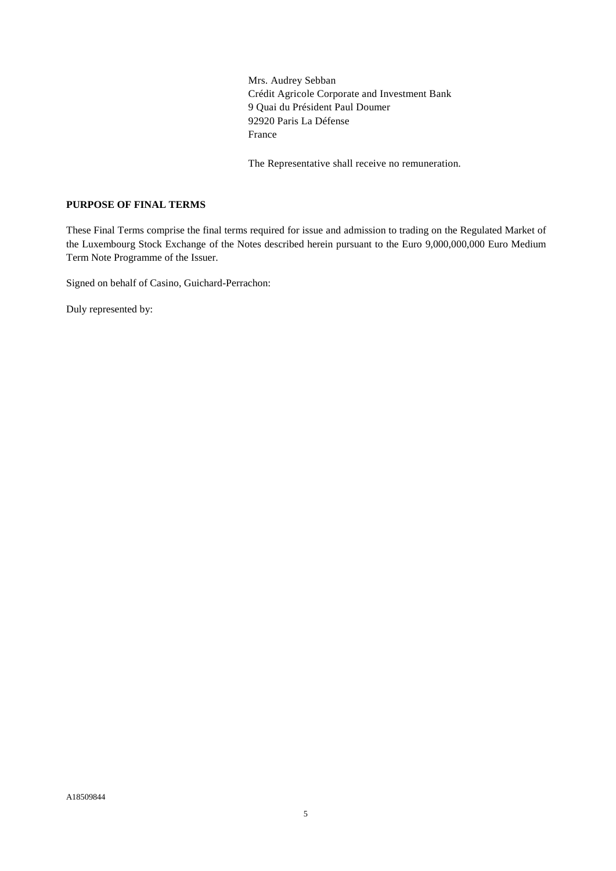Mrs. Audrey Sebban Crédit Agricole Corporate and Investment Bank 9 Quai du Président Paul Doumer 92920 Paris La Défense France

The Representative shall receive no remuneration.

### **PURPOSE OF FINAL TERMS**

These Final Terms comprise the final terms required for issue and admission to trading on the Regulated Market of the Luxembourg Stock Exchange of the Notes described herein pursuant to the Euro 9,000,000,000 Euro Medium Term Note Programme of the Issuer.

Signed on behalf of Casino, Guichard-Perrachon:

Duly represented by: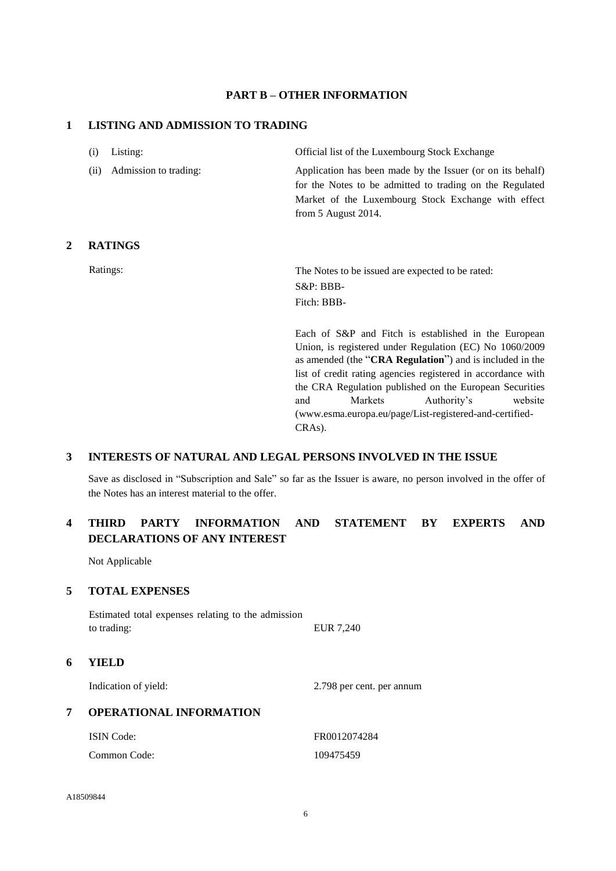### **PART B – OTHER INFORMATION**

### **1 LISTING AND ADMISSION TO TRADING**

| (i) Listing:<br>Official list of the Luxembourg Stock Exchange |  |
|----------------------------------------------------------------|--|
|----------------------------------------------------------------|--|

(ii) Admission to trading: Application has been made by the Issuer (or on its behalf)

from 5 August 2014.

## **2 RATINGS**

Ratings: The Notes to be issued are expected to be rated: S&P: BBB-Fitch: BBB-

> Each of S&P and Fitch is established in the European Union, is registered under Regulation (EC) No 1060/2009 as amended (the "**CRA Regulation**") and is included in the list of credit rating agencies registered in accordance with the CRA Regulation published on the European Securities and Markets Authority's website (www.esma.europa.eu/page/List-registered-and-certified-CRAs).

> for the Notes to be admitted to trading on the Regulated Market of the Luxembourg Stock Exchange with effect

### **3 INTERESTS OF NATURAL AND LEGAL PERSONS INVOLVED IN THE ISSUE**

Save as disclosed in "Subscription and Sale" so far as the Issuer is aware, no person involved in the offer of the Notes has an interest material to the offer.

# **4 THIRD PARTY INFORMATION AND STATEMENT BY EXPERTS AND DECLARATIONS OF ANY INTEREST**

Not Applicable

### **5 TOTAL EXPENSES**

Estimated total expenses relating to the admission to trading: EUR 7,240

### **6 YIELD**

Indication of yield: 2.798 per cent. per annum

### **7 OPERATIONAL INFORMATION**

| ISIN Code:   | FR0012074284 |
|--------------|--------------|
| Common Code: | 109475459    |